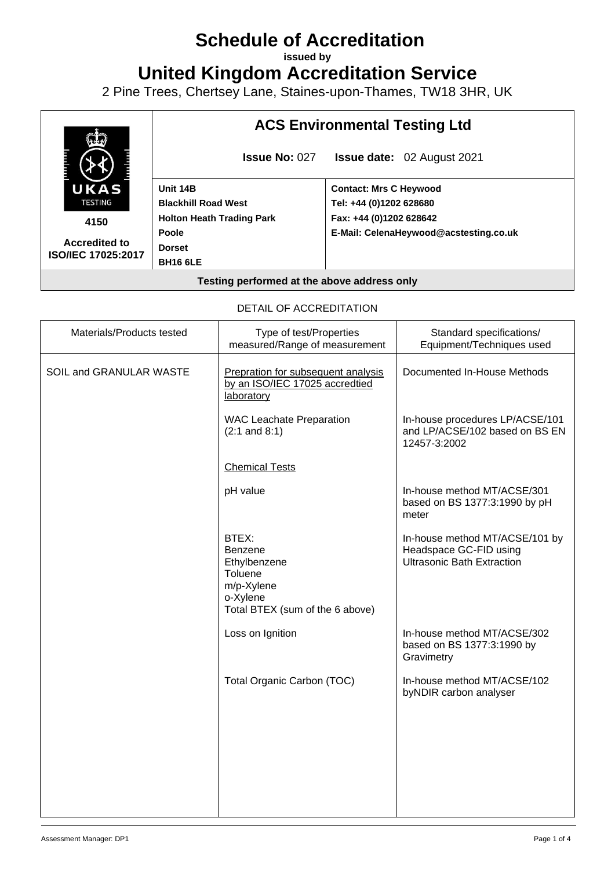# **Schedule of Accreditation**

**issued by**

**United Kingdom Accreditation Service**

2 Pine Trees, Chertsey Lane, Staines-upon-Thames, TW18 3HR, UK



DETAIL OF ACCREDITATION

| Materials/Products tested | Type of test/Properties<br>measured/Range of measurement                                                 | Standard specifications/<br>Equipment/Techniques used                                         |
|---------------------------|----------------------------------------------------------------------------------------------------------|-----------------------------------------------------------------------------------------------|
| SOIL and GRANULAR WASTE   | Prepration for subsequent analysis<br>by an ISO/IEC 17025 accredtied<br>laboratory                       | Documented In-House Methods                                                                   |
|                           | <b>WAC Leachate Preparation</b><br>$(2:1$ and $8:1)$                                                     | In-house procedures LP/ACSE/101<br>and LP/ACSE/102 based on BS EN<br>12457-3:2002             |
|                           | <b>Chemical Tests</b>                                                                                    |                                                                                               |
|                           | pH value                                                                                                 | In-house method MT/ACSE/301<br>based on BS 1377:3:1990 by pH<br>meter                         |
|                           | BTEX:<br>Benzene<br>Ethylbenzene<br>Toluene<br>m/p-Xylene<br>o-Xylene<br>Total BTEX (sum of the 6 above) | In-house method MT/ACSE/101 by<br>Headspace GC-FID using<br><b>Ultrasonic Bath Extraction</b> |
|                           | Loss on Ignition                                                                                         | In-house method MT/ACSE/302<br>based on BS 1377:3:1990 by<br>Gravimetry                       |
|                           | Total Organic Carbon (TOC)                                                                               | In-house method MT/ACSE/102<br>byNDIR carbon analyser                                         |
|                           |                                                                                                          |                                                                                               |
|                           |                                                                                                          |                                                                                               |
|                           |                                                                                                          |                                                                                               |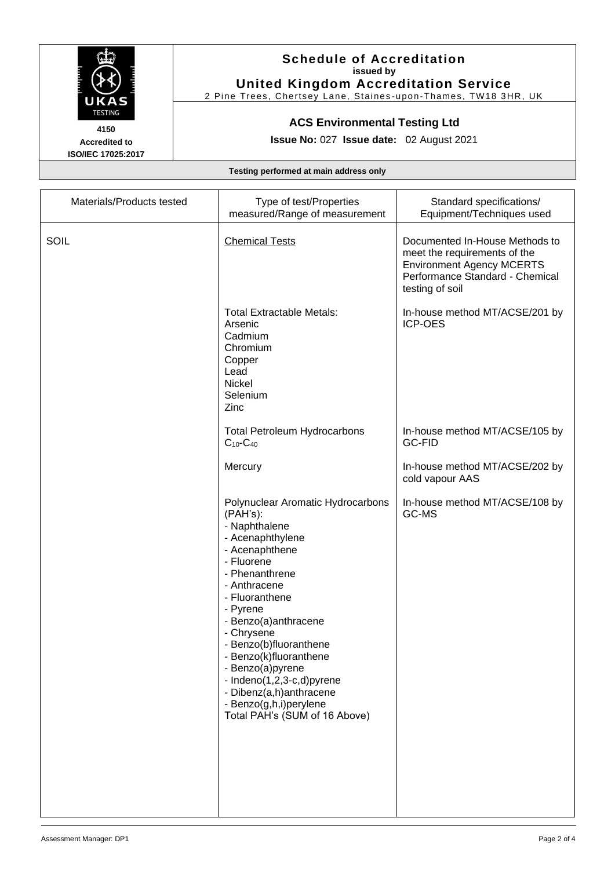

**Accredited to ISO/IEC 17025:2017**

### **Schedule of Accreditation issued by United Kingdom Accreditation Service**

2 Pine Trees, Chertsey Lane, Staines -upon -Thames, TW18 3HR, UK

## **ACS Environmental Testing Ltd**

**Issue No:** 027 **Issue date:** 02 August 2021

**Testing performed at main address only**

| Materials/Products tested | Type of test/Properties<br>measured/Range of measurement                                                                                                                                                                                                                                                                                                                                                            | Standard specifications/<br>Equipment/Techniques used                                                                                                    |
|---------------------------|---------------------------------------------------------------------------------------------------------------------------------------------------------------------------------------------------------------------------------------------------------------------------------------------------------------------------------------------------------------------------------------------------------------------|----------------------------------------------------------------------------------------------------------------------------------------------------------|
| SOIL                      | <b>Chemical Tests</b>                                                                                                                                                                                                                                                                                                                                                                                               | Documented In-House Methods to<br>meet the requirements of the<br><b>Environment Agency MCERTS</b><br>Performance Standard - Chemical<br>testing of soil |
|                           | <b>Total Extractable Metals:</b><br>Arsenic<br>Cadmium<br>Chromium<br>Copper<br>Lead<br><b>Nickel</b><br>Selenium<br>Zinc                                                                                                                                                                                                                                                                                           | In-house method MT/ACSE/201 by<br><b>ICP-OES</b>                                                                                                         |
|                           | <b>Total Petroleum Hydrocarbons</b><br>$C_{10}$ - $C_{40}$                                                                                                                                                                                                                                                                                                                                                          | In-house method MT/ACSE/105 by<br><b>GC-FID</b>                                                                                                          |
|                           | Mercury                                                                                                                                                                                                                                                                                                                                                                                                             | In-house method MT/ACSE/202 by<br>cold vapour AAS                                                                                                        |
|                           | Polynuclear Aromatic Hydrocarbons<br>(PAH's):<br>- Naphthalene<br>- Acenaphthylene<br>- Acenaphthene<br>- Fluorene<br>- Phenanthrene<br>- Anthracene<br>- Fluoranthene<br>- Pyrene<br>- Benzo(a)anthracene<br>- Chrysene<br>- Benzo(b)fluoranthene<br>- Benzo(k)fluoranthene<br>- Benzo(a)pyrene<br>- Indeno(1,2,3-c,d)pyrene<br>- Dibenz(a,h)anthracene<br>- Benzo(g,h,i)perylene<br>Total PAH's (SUM of 16 Above) | In-house method MT/ACSE/108 by<br>GC-MS                                                                                                                  |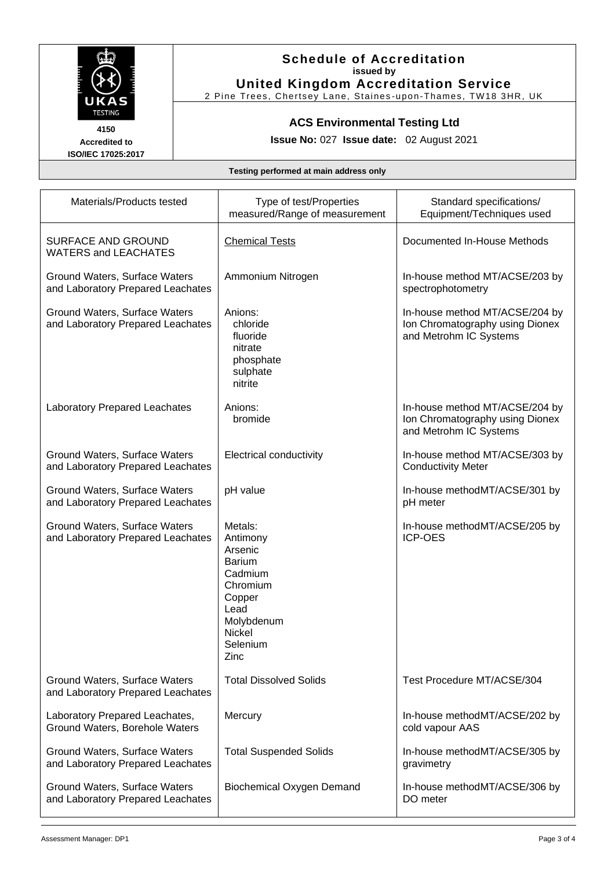

**Accredited to ISO/IEC 17025:2017**

#### **Schedule of Accreditation issued by United Kingdom Accreditation Service**

2 Pine Trees, Chertsey Lane, Staines -upon -Thames, TW18 3HR, UK

## **ACS Environmental Testing Ltd**

**Issue No:** 027 **Issue date:** 02 August 2021

**Testing performed at main address only**

| Materials/Products tested                                          | Type of test/Properties<br>measured/Range of measurement                                                                             | Standard specifications/<br>Equipment/Techniques used                                       |
|--------------------------------------------------------------------|--------------------------------------------------------------------------------------------------------------------------------------|---------------------------------------------------------------------------------------------|
| SURFACE AND GROUND<br><b>WATERS and LEACHATES</b>                  | <b>Chemical Tests</b>                                                                                                                | Documented In-House Methods                                                                 |
| Ground Waters, Surface Waters<br>and Laboratory Prepared Leachates | Ammonium Nitrogen                                                                                                                    | In-house method MT/ACSE/203 by<br>spectrophotometry                                         |
| Ground Waters, Surface Waters<br>and Laboratory Prepared Leachates | Anions:<br>chloride<br>fluoride<br>nitrate<br>phosphate<br>sulphate<br>nitrite                                                       | In-house method MT/ACSE/204 by<br>Ion Chromatography using Dionex<br>and Metrohm IC Systems |
| <b>Laboratory Prepared Leachates</b>                               | Anions:<br>bromide                                                                                                                   | In-house method MT/ACSE/204 by<br>Ion Chromatography using Dionex<br>and Metrohm IC Systems |
| Ground Waters, Surface Waters<br>and Laboratory Prepared Leachates | <b>Electrical conductivity</b>                                                                                                       | In-house method MT/ACSE/303 by<br><b>Conductivity Meter</b>                                 |
| Ground Waters, Surface Waters<br>and Laboratory Prepared Leachates | pH value                                                                                                                             | In-house methodMT/ACSE/301 by<br>pH meter                                                   |
| Ground Waters, Surface Waters<br>and Laboratory Prepared Leachates | Metals:<br>Antimony<br>Arsenic<br><b>Barium</b><br>Cadmium<br>Chromium<br>Copper<br>Lead<br>Molybdenum<br>Nickel<br>Selenium<br>Zinc | In-house methodMT/ACSE/205 by<br><b>ICP-OES</b>                                             |
| Ground Waters, Surface Waters<br>and Laboratory Prepared Leachates | <b>Total Dissolved Solids</b>                                                                                                        | Test Procedure MT/ACSE/304                                                                  |
| Laboratory Prepared Leachates,<br>Ground Waters, Borehole Waters   | Mercury                                                                                                                              | In-house methodMT/ACSE/202 by<br>cold vapour AAS                                            |
| Ground Waters, Surface Waters<br>and Laboratory Prepared Leachates | <b>Total Suspended Solids</b>                                                                                                        | In-house methodMT/ACSE/305 by<br>gravimetry                                                 |
| Ground Waters, Surface Waters<br>and Laboratory Prepared Leachates | Biochemical Oxygen Demand                                                                                                            | In-house methodMT/ACSE/306 by<br>DO meter                                                   |